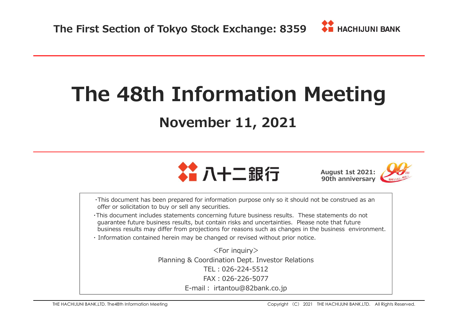# **The 48th Information Meeting**

# **November 11, 2021**



**August 1st 2021: 90th anniversary**

・This document has been prepared for information purpose only so it should not be construed as anoffer or solicitation to buy or sell any securities.

- ・This document includes statements concerning future business results. These statements do not guarantee future business results, but contain risks and uncertainties. Please note that futurebusiness results may differ from projections for reasons such as changes in the business environment.
- ・ Information contained herein may be changed or revised without prior notice.

<For inquiry> Planning & Coordination Dept. Investor RelationsTEL︓026-224-5512 FAX︓026-226-5077E-mail : irtantou@82bank.co.jp<br>—————————————————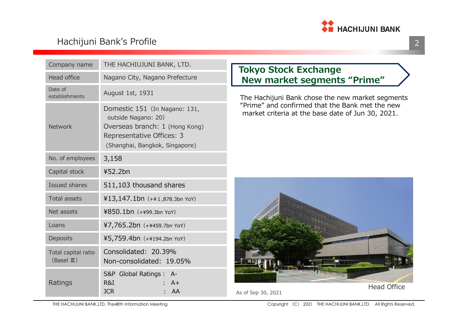

#### Hachijuni Bank's Profile

| Company name                                | THE HACHIUJUNI BANK, LTD.                                                                                                                             | <b>Tokyo Stock Exchange</b>                                                                          |
|---------------------------------------------|-------------------------------------------------------------------------------------------------------------------------------------------------------|------------------------------------------------------------------------------------------------------|
| <b>Head office</b>                          | Nagano City, Nagano Prefecture                                                                                                                        | New market segments "Prime"                                                                          |
| Date of<br>establishments                   | August 1st, 1931                                                                                                                                      | The Hachijuni Bank chose the new market segment                                                      |
| <b>Network</b>                              | Domestic 151 (In Nagano: 131,<br>outside Nagano: 20)<br>Overseas branch: 1 (Hong Kong)<br>Representative Offices: 3<br>(Shanghai, Bangkok, Singapore) | "Prime" and confirmed that the Bank met the new<br>market criteria at the base date of Jun 30, 2021. |
| No. of employees                            | 3,158                                                                                                                                                 |                                                                                                      |
| Capital stock                               | ¥52.2bn                                                                                                                                               |                                                                                                      |
| Issued shares                               | 511,103 thousand shares                                                                                                                               |                                                                                                      |
| <b>Total assets</b>                         | ¥13,147.1bn (+¥1,878.3bn YoY)                                                                                                                         |                                                                                                      |
| Net assets                                  | ¥850.1bn (+¥99.3bn YoY)                                                                                                                               |                                                                                                      |
| Loans                                       | ¥7,765.2bn (+¥459.7bn YoY)                                                                                                                            |                                                                                                      |
| <b>Deposits</b>                             | ¥5,759.4bn (+¥194.2bn YoY)                                                                                                                            |                                                                                                      |
| Total capital ratio<br>$(BaseI \mathbb{I})$ | Consolidated: 20.39%<br>Non-consolidated: 19.05%                                                                                                      |                                                                                                      |
| Ratings                                     | S&P Global Ratings : A-<br>R&I<br>$A+$<br><b>JCR</b><br>: AA                                                                                          | <b>Head Office</b><br>As of Sep 30, 2021                                                             |

#### **Tokyo Stock ExchangeNew market segments "Prime"**



As of Sep 30, 2021



THE HACHIJUNI BANK,LTD. The48th Information Meeting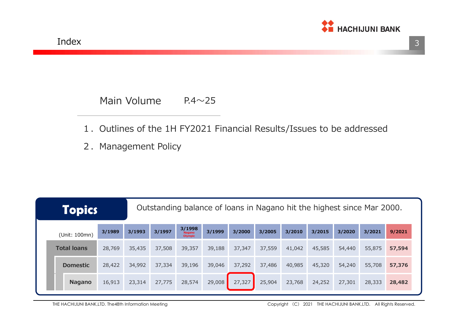

#### Main Volume $P.4 \sim 25$

- 1.Outlines of the 1H FY2021 Financial Results/Issues to be addressed
- 2. Management Policy

| <b>Topics</b>      |        |        |        |                                           |        |        |        |        | Outstanding balance of loans in Nagano hit the highest since Mar 2000. |        |        |        |
|--------------------|--------|--------|--------|-------------------------------------------|--------|--------|--------|--------|------------------------------------------------------------------------|--------|--------|--------|
| (Unit: 100mn)      | 3/1989 | 3/1993 | 3/1997 | 3/1998<br><b>Nagano</b><br><b>Olympic</b> | 3/1999 | 3/2000 | 3/2005 | 3/2010 | 3/2015                                                                 | 3/2020 | 3/2021 | 9/2021 |
| <b>Total loans</b> | 28,769 | 35,435 | 37,508 | 39,357                                    | 39,188 | 37,347 | 37,559 | 41,042 | 45,585                                                                 | 54,440 | 55,875 | 57,594 |
| <b>Domestic</b>    | 28,422 | 34,992 | 37,334 | 39,196                                    | 39,046 | 37,292 | 37,486 | 40,985 | 45,320                                                                 | 54,240 | 55,708 | 57,376 |
| <b>Nagano</b>      | 16,913 | 23,314 | 27,775 | 28,574                                    | 29,008 | 27,327 | 25,904 | 23,768 | 24,252                                                                 | 27,301 | 28,333 | 28,482 |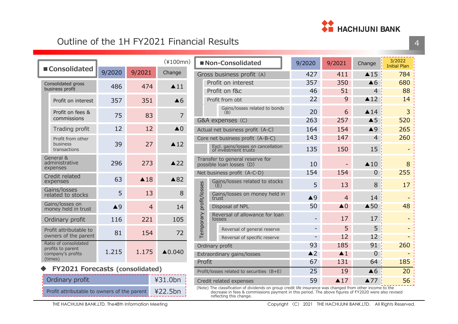

#### Outline of the 1H FY2021 Financial Results

| ■ Consolidated                             |               |                | $(*100mn)$               |               |                    | ■ Non-Consolidated                                          |     | 9/2020        | 9/2021                   | Change         | 3/2022<br><b>Initial Plan</b> |
|--------------------------------------------|---------------|----------------|--------------------------|---------------|--------------------|-------------------------------------------------------------|-----|---------------|--------------------------|----------------|-------------------------------|
| 9/2020                                     |               | 9/2021         | Change                   |               |                    | Gross business profit (A)                                   |     | 427           | 411                      | $\triangle$ 15 | 784                           |
| Consolidated gross                         | 486           | 474            | $\triangle$ 11           |               | Profit on interest |                                                             | 357 | 350           | $\triangle 6$            | 680            |                               |
| business profit                            |               |                |                          |               |                    | Profit on f&c                                               |     | 46            | 51                       | 4              | 88                            |
| Profit on interest                         | 357           | 351            | $\triangle 6$            |               |                    | Profit from obt                                             |     | 22            | 9                        | $\triangle 12$ | 14                            |
| Profit on fees &<br>commissions            | 75            | 83             | $\overline{7}$           |               |                    | Gains/losses related to bonds<br>(B)                        |     | 20            | 6                        | $\triangle$ 14 | 3                             |
|                                            |               |                |                          |               |                    | G&A expenses (C)                                            |     | 263           | 257                      | $\triangle$ 5  | 520                           |
| Trading profit                             | 12            | 12             | $\triangle$ <sup>0</sup> |               |                    | Actual net business profit (A-C)                            |     | 164           | 154                      | $\triangle$ 9  | 265                           |
| Profit from other                          |               |                |                          |               |                    | Core net business profit (A-B-C)                            |     | 143           | 147                      | $\overline{4}$ | 260                           |
| business<br>transactions                   | 39            | 27             | $\triangle$ 12           |               |                    | Excl. gains/losses on cancellation<br>of investment trusts  |     | 135           | 150                      | 15             | ÷                             |
| General &<br>administrative<br>expenses    | 296           | 273            | $\triangle$ 22           |               |                    | Transfer to general reserve for<br>possible loan losses (D) |     | 10            |                          | $\triangle$ 10 | 8                             |
| Credit related                             |               |                |                          |               |                    | Net business profit (A-C-D)                                 |     | 154           | 154                      | $\overline{0}$ | 255                           |
| expenses                                   | 63            | $\triangle$ 18 | $\triangle 82$           |               | (F)                | Gains/losses related to stocks                              |     | 5             | 13                       | 8              | 17                            |
| Gains/losses<br>related to stocks          | 5             | 13             | 8                        | profit/losses | trust              | Gains/losses on money held in                               |     | $\triangle$ 9 | $\overline{4}$           | 14             |                               |
| Gains/losses on<br>money held in trust     | $\triangle$ 9 | $\overline{4}$ | 14                       |               |                    | Disposal of NPL                                             |     | 50            | $\triangle$ <sup>0</sup> | $\triangle$ 50 | 48                            |
| Ordinary profit                            | 116           | 221            | 105                      | Temporary     |                    | Reversal of allowance for loan<br>losses                    |     |               | 17                       | 17             |                               |
| Profit attributable to                     |               |                |                          |               |                    | Reversal of general reserve                                 |     |               | 5                        | 5              |                               |
| owners of the parent                       | 81            | 154            | 72                       |               |                    | Reversal of specific reserve                                |     |               | 12                       | 12             |                               |
| Ratio of consolidated<br>profits to parent |               |                |                          |               |                    | Ordinary profit                                             |     | 93            | 185                      | 91             | 260                           |
| company's profits<br>(times)               | 1.215         | 1.175          | $\triangle$ 0.040        |               |                    | Extraordinary gains/losses                                  |     | $\triangle$ 2 | $\blacktriangle$ 1       | $\overline{0}$ |                               |
|                                            |               |                |                          | Profit        |                    |                                                             |     | 67            | 131                      | 64             | 185                           |

|  | <b>FY2021 Forecasts (consolidated)</b> |  |
|--|----------------------------------------|--|
|  |                                        |  |

| Ordinary profit                                     | $431.0$ bn |
|-----------------------------------------------------|------------|
| Profit attributable to owners of the parent ¥22.5bn |            |

| $\overline{1}$ |               | Profit on interest                                                                           | 357                | 350                      | $\triangle 6$  | 680 |
|----------------|---------------|----------------------------------------------------------------------------------------------|--------------------|--------------------------|----------------|-----|
|                |               | Profit on f&c                                                                                | 46                 | 51                       | 4              | 88  |
| 6              |               | Profit from obt                                                                              | 22                 | 9                        | $\triangle$ 12 | 14  |
| 7              |               | Gains/losses related to bonds<br>(B)                                                         | 20                 | 6                        | $\triangle$ 14 | 3   |
|                |               | G&A expenses (C)                                                                             | 263                | 257                      | $\triangle$ 5  | 520 |
| 0              |               | Actual net business profit (A-C)                                                             | 164                | 154                      | $\triangle$ 9  | 265 |
|                |               | Core net business profit (A-B-C)                                                             | 143                | 147                      | 4              | 260 |
| $\overline{2}$ |               | Excl. gains/losses on cancellation<br>of investment trusts                                   | 135                | 150                      | 15             |     |
| $\overline{2}$ |               | Transfer to general reserve for<br>possible loan losses (D)                                  | 10                 |                          | $\triangle$ 10 | 8   |
|                |               | Net business profit (A-C-D)                                                                  | 154                | 154                      | 0              | 255 |
| 2              |               | Gains/losses related to stocks<br>$\left( \begin{array}{c} \blacksquare \end{array} \right)$ | 5                  | 13                       | 8              | 17  |
| 8              | profit/losses | Gains/losses on money held in<br>trust                                                       | $\triangle$ 9      | $\overline{4}$           | 14             |     |
| 4              |               | Disposal of NPL                                                                              | 50                 | $\triangle$ <sup>0</sup> | $\triangle$ 50 | 48  |
| 5              | Temporary     | Reversal of allowance for loan<br>losses                                                     |                    | 17                       | 17             |     |
| $\overline{2}$ |               | Reversal of general reserve                                                                  |                    | 5                        | 5              |     |
|                |               | Reversal of specific reserve                                                                 |                    | 12                       | 12             |     |
|                |               | Ordinary profit                                                                              | 93                 | 185                      | 91             | 260 |
| 0              |               | Extraordinary gains/losses                                                                   | $\blacktriangle$ 2 | $\blacktriangle$ 1       | 0              |     |
|                | Profit        |                                                                                              | 67                 | 131                      | 64             | 185 |
|                |               | Profit/losses related to securities $(B+E)$                                                  | 25                 | 19                       | $\triangle 6$  | 20  |
|                |               | Credit related expenses                                                                      | 59                 | $\triangle$ 17           | $\triangle 77$ | 56  |

Credit related expenses  $\begin{array}{|c|c|c|c|c|}\n\hline\n\text{(-3)} & \text{(-4)} & \text{(-5)} \\
\hline\n\text{(Note) The classification of dividends on group credit life insurance was changed from other income to the\n} & \text{(-5)} & \text{(-5)} \\
\hline\n\end{array}$ (Note) The classification of dividends on group credit life insurance was changed from other income to the decrease in fees & commissions payment in this period. The above figures of FY2020 were also revised reflecting thi reflecting this change.

#### THE HACHIJUNI BANK,LTD. The48th Information Meeting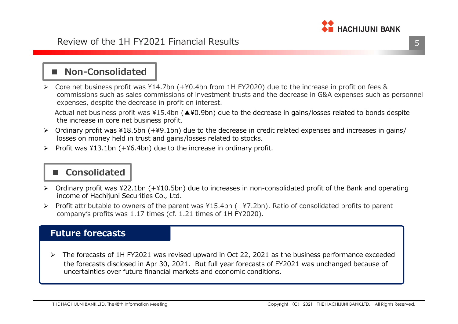

# ■ Non-Consolidated<br>–––––––––––––––––––––

► Core net business profit was  $¥14.7$ bn (+¥0.4bn from 1H FY2020) due to the increase in profit on fees & commissions such as sales commissions of investment trusts and the decrease in G&A expenses such as personnel expenses, despite the decrease in profit on interest.

Actual net business profit was ¥15.4bn (▲¥0.9bn) due to the decrease in gains/losses related to bonds despitethe increase in core net business profit.

- Ordinary profit was ¥18.5bn (+¥9.1bn) due to the decrease in credit related expenses and increases in gains/ losses on money held in trust and gains/losses related to stocks.
- $\triangleright$  Profit was ¥13.1bn (+¥6.4bn) due to the increase in ordinary profit.

# ■ **Consolidated**

- ► Ordinary profit was ¥22.1bn (+¥10.5bn) due to increases in non-consolidated profit of the Bank and operating<br>income of Hachijuni Securities Co., Ltd income of Hachijuni Securities Co., Ltd.
- Profit attributable to owners of the parent was  $415.4$ bn (+ $47.2$ bn). Ratio of consolidated profits to parent<br>company's profits was 1.17 times (of 1.21 times of 111 EX2020) company's profits was 1.17 times (cf. 1.21 times of 1H FY2020).

#### **Future forecasts**

 $\blacktriangleright$  The forecasts of 1H FY2021 was revised upward in Oct 22, 2021 as the business performance exceeded the forecasts disclosed in Apr 30, 2021. But full year forecasts of FY2021 was unchanged because of uncertainties over future financial markets and economic conditions.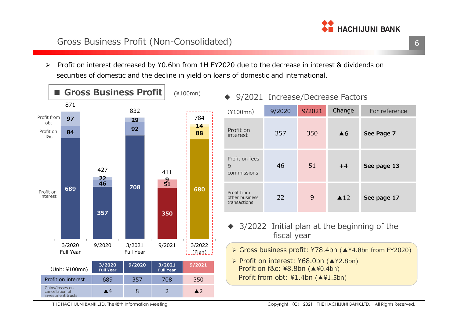

 $\blacktriangleright$  Profit on interest decreased by ¥0.6bn from 1H FY2020 due to the decrease in interest & dividends on securities of domestic and the decline in yield on loans of domestic and international.



THE HACHIJUNI BANK,LTD. The48th Information Meeting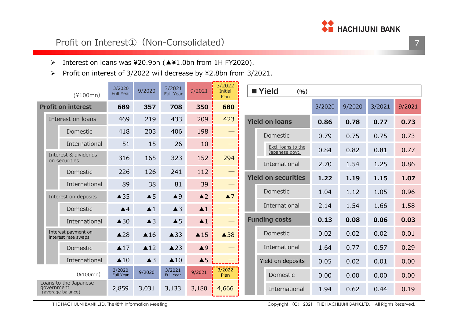

#### Profit on Interest<sup>1</sup> (Non-Consolidated)

- Interest on loans was ¥20.9bn (▲¥1.0bn from 1H FY2020).
- $\blacktriangleright$ Profit on interest of 3/2022 will decrease by ¥2.8bn from 3/2021.

| $(*100mn)$                                               | 3/2020<br><b>Full Year</b> | 9/2020             | 3/2021<br><b>Full Year</b> | 9/2021             | 3/2022<br><b>Initial</b><br>Plan | ■ Yield<br>(96)            |      |        |        |        |
|----------------------------------------------------------|----------------------------|--------------------|----------------------------|--------------------|----------------------------------|----------------------------|------|--------|--------|--------|
| <b>Profit on interest</b>                                | 689                        | 357                | 708                        | 350                | 680                              |                            |      | 9/2020 | 3/2021 | 9/2021 |
| Interest on loans                                        | 469                        | 219                | 433                        | 209                | 423                              | <b>Yield on loans</b>      | 0.86 | 0.78   | 0.77   | 0.73   |
| Domestic                                                 | 418                        | 203                | 406                        | 198                |                                  | Domestic                   | 0.79 | 0.75   | 0.75   | 0.73   |
| International                                            | 51                         | 15                 | 26                         | 10                 |                                  | Excl. loans to the         | 0.84 | 0.82   | 0.81   | 0.77   |
| Interest & dividends<br>on securities                    | 316                        | 165                | 323                        | 152                | 294                              | Japanese govt.             |      |        |        |        |
| Domestic                                                 | 226                        | 126                | 241                        | 112                | __                               | International              | 2.70 | 1.54   | 1.25   | 0.86   |
| International                                            | 89                         | 38                 | 81                         | 39                 |                                  | <b>Yield on securities</b> | 1.22 | 1.19   | 1.15   | 1.07   |
| Interest on deposits                                     | $\triangle$ 35             | $\triangle$ 5      | $\triangle$ 9              | $\triangle$ 2      | $\blacktriangle$ 7               | Domestic                   | 1.04 | 1.12   | 1.05   | 0.96   |
| Domestic                                                 | $\blacktriangle$ 4         | $\blacktriangle$ 1 | $\triangle$ 3              | $\blacktriangle$ 1 | $\hspace{0.05cm}$                | International              | 2.14 | 1.54   | 1.66   | 1.58   |
| International                                            | $\triangle$ 30             | $\triangle$ 3      | $\triangle$ 5              | $\blacktriangle$ 1 |                                  | <b>Funding costs</b>       | 0.13 | 0.08   | 0.06   | 0.03   |
| Interest payment on<br>interest rate swaps               | $\triangle$ 28             | $\triangle$ 16     | $\triangle$ 33             | $\triangle$ 15     | $\triangle$ 38                   | Domestic                   | 0.02 | 0.02   | 0.02   | 0.01   |
| Domestic                                                 | $\triangle$ 17             | $\triangle$ 12     | $\triangle$ 23             | $\triangle$ 9      |                                  | International              | 1.64 | 0.77   | 0.57   | 0.29   |
| International                                            | $\triangle$ 10             | $\triangle$ 3      | $\triangle$ 10             | $\triangle$ 5      |                                  | Yield on deposits          | 0.05 | 0.02   | 0.01   | 0.00   |
| $(*100mn)$                                               | 3/2020<br><b>Full Year</b> | 9/2020             | 3/2021<br><b>Full Year</b> | 9/2021             | 3/2022<br>Plan                   | Domestic                   | 0.00 | 0.00   | 0.00   | 0.00   |
| Loans to the Japanese<br>government<br>(average balance) | 2,859                      | 3,031              | 3,133                      | 3,180              | 4,666                            | International              | 1.94 | 0.62   | 0.44   | 0.19   |

THE HACHIJUNI BANK,LTD. The48th Information Meeting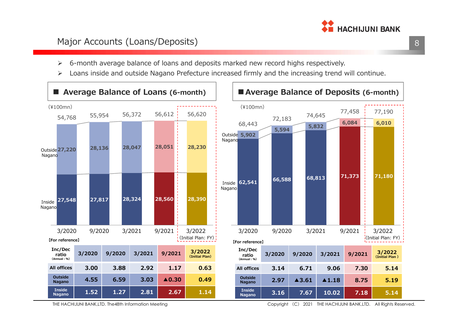

#### Major Accounts (Loans/Deposits)

- $\blacktriangleright$ 6-month average balance of loans and deposits marked new record highs respectively.
- $\blacktriangleright$ Loans inside and outside Nagano Prefecture increased firmly and the increasing trend will continue.



THE HACHIJUNI BANK,LTD. The48th Information Meeting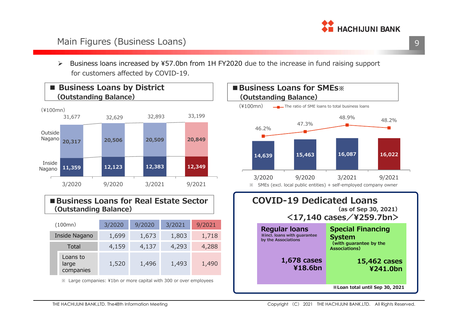

#### Main Figures (Business Loans)

 $\blacktriangleright$  Business loans increased by ¥57.0bn from 1H FY2020 due to the increase in fund raising support for customers affected by COVID-19.



#### ■Business Loans for Real **Estate Sector (Outstanding Balance)**

| (100mn)                        | 3/2020 | 9/2020 | 3/2021 | 9/2021 |
|--------------------------------|--------|--------|--------|--------|
| Inside Nagano                  | 1,699  | 1,673  | 1,803  | 1,718  |
| Total                          | 4,159  | 4,137  | 4,293  | 4,288  |
| Loans to<br>large<br>companies | 1,520  | 1,496  | 1,493  | 1,490  |

※ Large companies: ¥1bn or more capital with 300 or over employees

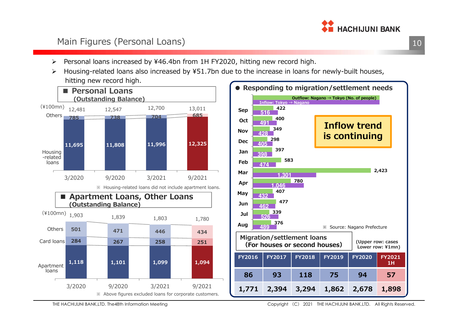

#### Main Figures (Personal Loans)

- $\blacktriangleright$ Personal loans increased by ¥46.4bn from 1H FY2020, hitting new record high.
- $\blacktriangleright$  Housing-related loans also increased by ¥51.7bn due to the increase in loans for newly-built houses, hitting new record high.



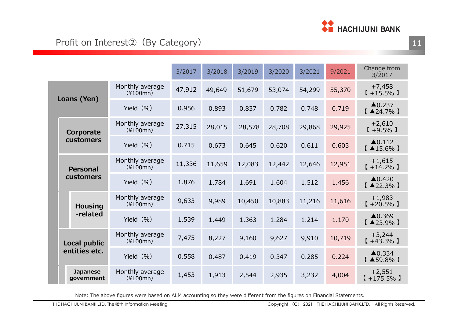

|                               |                               | 3/2017 | 3/2018 | 3/2019 | 3/2020 | 3/2021 | 9/2021 | Change from<br>3/2017                        |
|-------------------------------|-------------------------------|--------|--------|--------|--------|--------|--------|----------------------------------------------|
| Loans (Yen)                   | Monthly average<br>$(*100mn)$ | 47,912 | 49,649 | 51,679 | 53,074 | 54,299 | 55,370 | $+7,458$<br>$[+15.5\%]$                      |
|                               | Yield $(% )$                  | 0.956  | 0.893  | 0.837  | 0.782  | 0.748  | 0.719  | $\triangle$ 0.237<br>$[$ $\triangle$ 24.7% ] |
| Corporate                     | Monthly average<br>$(*100mn)$ | 27,315 | 28,015 | 28,578 | 28,708 | 29,868 | 29,925 | $+2,610$<br>$[+9.5\%]$                       |
| customers                     | Yield $(% )$                  | 0.715  | 0.673  | 0.645  | 0.620  | 0.611  | 0.603  | $\triangle$ 0.112<br>$[$ $\triangle$ 15.6% ] |
| <b>Personal</b>               | Monthly average<br>$(*100mn)$ | 11,336 | 11,659 | 12,083 | 12,442 | 12,646 | 12,951 | $+1,615$<br>$[ +14.2\% ]$                    |
| customers                     | Yield $(% )$                  | 1.876  | 1.784  | 1.691  | 1.604  | 1.512  | 1.456  | $\triangle 0.420$<br>$[$ $\triangle$ 22.3% ] |
| <b>Housing</b>                | Monthly average<br>$(*100mn)$ | 9,633  | 9,989  | 10,450 | 10,883 | 11,216 | 11,616 | $+1,983$<br>$[+20.5\%]$                      |
| -related                      | Yield $(% )$                  | 1.539  | 1.449  | 1.363  | 1.284  | 1.214  | 1.170  | $\triangle$ 0.369<br>$[$ $\triangle$ 23.9% ] |
| Local public                  | Monthly average<br>$(*100mn)$ | 7,475  | 8,227  | 9,160  | 9,627  | 9,910  | 10,719 | $+3,244$<br>$[+43.3\%]$                      |
| entities etc.                 | Yield $(% )$                  | 0.558  | 0.487  | 0.419  | 0.347  | 0.285  | 0.224  | $\triangle$ 0.334<br>$[$ $\triangle$ 59.8% ] |
| <b>Japanese</b><br>government | Monthly average<br>$(*100mn)$ | 1,453  | 1,913  | 2,544  | 2,935  | 3,232  | 4,004  | $+2,551$<br>$[+175.5\%]$                     |

Note: The above figures were based on ALM accounting so they were different from the figures on Financial Statements.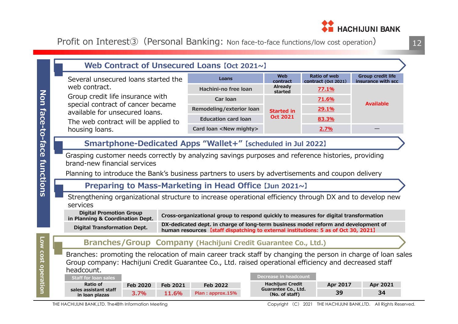

Profit on Interest<sup>3</sup> (Personal Banking: Non face-to-face functions/low cost operation)

|                    | Web Contract of Unsecured Loans [Oct 2021~]                                                                                                                                                                                                                                                                                                                                                                                                                                                                                           |                          |                                                                                                                                                                                                                                                                  |                                                                                           |                                            |                                                |
|--------------------|---------------------------------------------------------------------------------------------------------------------------------------------------------------------------------------------------------------------------------------------------------------------------------------------------------------------------------------------------------------------------------------------------------------------------------------------------------------------------------------------------------------------------------------|--------------------------|------------------------------------------------------------------------------------------------------------------------------------------------------------------------------------------------------------------------------------------------------------------|-------------------------------------------------------------------------------------------|--------------------------------------------|------------------------------------------------|
|                    | Several unsecured loans started the                                                                                                                                                                                                                                                                                                                                                                                                                                                                                                   |                          | Loans                                                                                                                                                                                                                                                            | Web<br>contract                                                                           | <b>Ratio of web</b><br>contract (Oct 2021) | <b>Group credit life</b><br>insurance with scc |
|                    | web contract.                                                                                                                                                                                                                                                                                                                                                                                                                                                                                                                         |                          | Hachini-no free loan                                                                                                                                                                                                                                             | Already<br>started                                                                        | 77.1%                                      |                                                |
| Non                | Group credit life insurance with<br>special contract of cancer became                                                                                                                                                                                                                                                                                                                                                                                                                                                                 |                          | <b>Car loan</b>                                                                                                                                                                                                                                                  |                                                                                           | 71.6%                                      | <b>Available</b>                               |
|                    | available for unsecured loans.                                                                                                                                                                                                                                                                                                                                                                                                                                                                                                        |                          | Remodeling/exterior loan                                                                                                                                                                                                                                         | <b>Started in</b>                                                                         | 29.1%                                      |                                                |
|                    | The web contract will be applied to                                                                                                                                                                                                                                                                                                                                                                                                                                                                                                   |                          | <b>Education card loan</b>                                                                                                                                                                                                                                       | <b>Oct 2021</b>                                                                           | 83.3%                                      |                                                |
|                    | housing loans.                                                                                                                                                                                                                                                                                                                                                                                                                                                                                                                        |                          | Card loan <new mighty=""></new>                                                                                                                                                                                                                                  | 2.7%                                                                                      |                                            |                                                |
| face-to-face       | Smartphone-Dedicated Apps "Wallet+" [scheduled in Jul 2022]                                                                                                                                                                                                                                                                                                                                                                                                                                                                           |                          |                                                                                                                                                                                                                                                                  |                                                                                           |                                            |                                                |
| <b>functions</b>   | Grasping customer needs correctly by analyzing savings purposes and reference histories, providing<br>brand-new financial services<br>Planning to introduce the Bank's business partners to users by advertisements and coupon delivery<br>Preparing to Mass-Marketing in Head Office [Jun 2021~]<br>Strengthening organizational structure to increase operational efficiency through DX and to develop new<br>services<br><b>Digital Promotion Group</b><br>in Planning & Coordination Dept.<br><b>Digital Transformation Dept.</b> |                          | Cross-organizational group to respond quickly to measures for digital transformation<br>DX-dedicated dept. in charge of long-term business model reform and development of<br>human resources [staff dispatching to external institutions: 5 as of Oct 30, 2021] |                                                                                           |                                            |                                                |
|                    | Branches/Group Company (Hachijuni Credit Guarantee Co., Ltd.)                                                                                                                                                                                                                                                                                                                                                                                                                                                                         |                          |                                                                                                                                                                                                                                                                  |                                                                                           |                                            |                                                |
| Low cost operation | Branches: promoting the relocation of main career track staff by changing the person in charge of loan sales<br>Group company: Hachijuni Credit Guarantee Co., Ltd. raised operational efficiency and decreased staff<br>headcount.<br><b>Staff for loan sales</b><br>Ratio of<br><b>Feb 2020</b><br>sales assistant staff<br>3.7%<br>in loan plazas                                                                                                                                                                                  | <b>Feb 2021</b><br>11.6% | <b>Feb 2022</b><br>Plan: approx.15%                                                                                                                                                                                                                              | <b>Decrease in headcount</b><br>Hachijuni Credit<br>Guarantee Co., Ltd.<br>(No. of staff) | Apr 2017<br>39                             | Apr 2021<br>34                                 |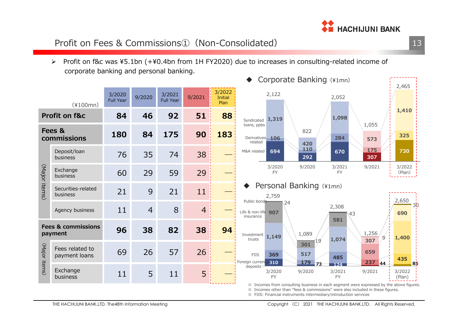

### Profit on Fees & Commissions①(Non-Consolidated)

 Profit on f&c was ¥5.1bn (+¥0.4bn from 1H FY2020) due to increases in consulting-related income of corporate banking and personal banking.

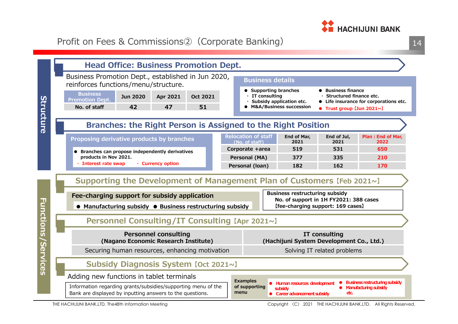

14

|                           |                                                                                                                            |                 | <b>Head Office: Business Promotion Dept.</b>                        |          |                           |                                              |  |                                                                                         |                                                                                         |                                                                |  |
|---------------------------|----------------------------------------------------------------------------------------------------------------------------|-----------------|---------------------------------------------------------------------|----------|---------------------------|----------------------------------------------|--|-----------------------------------------------------------------------------------------|-----------------------------------------------------------------------------------------|----------------------------------------------------------------|--|
|                           | Business Promotion Dept., established in Jun 2020,<br>reinforces functions/menu/structure.                                 |                 |                                                                     |          |                           | <b>Business details</b>                      |  |                                                                                         |                                                                                         |                                                                |  |
|                           | <b>Business</b><br><b>Promotion Dept.</b>                                                                                  | <b>Jun 2020</b> | Apr 2021                                                            | Oct 2021 |                           | $\cdot$ IT consulting                        |  | • Supporting branches<br>Subsidy application etc.                                       | ● Business finance<br>Structured finance etc.<br>• Life insurance for corporations etc. |                                                                |  |
|                           | No. of staff                                                                                                               | 42              | 47                                                                  | 51       | • M&A/Business succession |                                              |  |                                                                                         | $\bullet$ Trust group [Jun 2021~]                                                       |                                                                |  |
| Structure                 |                                                                                                                            |                 |                                                                     |          |                           |                                              |  | Branches: the Right Person is Assigned to the Right Position                            |                                                                                         |                                                                |  |
|                           | Proposing derivative products by branches                                                                                  |                 |                                                                     |          |                           | <b>Relocation of staff</b><br>(No. of staff) |  | End of Mar,<br>2021                                                                     | End of Jul,<br>2021                                                                     | Plan: End of Mar,<br>2022                                      |  |
|                           | • Branches can propose independently derivatives                                                                           |                 |                                                                     |          |                           | Corporate +area                              |  | 519                                                                                     | 531                                                                                     | 650                                                            |  |
|                           | products in Nov 2021.<br>Interest rate swap                                                                                |                 | • Currency option                                                   |          |                           | Personal (MA)                                |  | 377                                                                                     | 335                                                                                     | 210                                                            |  |
|                           |                                                                                                                            |                 |                                                                     |          |                           | Personal (loan)                              |  | 182                                                                                     | 162                                                                                     | 170                                                            |  |
|                           | Supporting the Development of Management Plan of Customers (Feb 2021~)                                                     |                 |                                                                     |          |                           |                                              |  |                                                                                         |                                                                                         |                                                                |  |
|                           | Fee-charging support for subsidy application                                                                               |                 |                                                                     |          |                           |                                              |  | <b>Business restructuring subsidy</b><br>No. of support in 1H FY2021: 388 cases         |                                                                                         |                                                                |  |
|                           | • Manufacturing subsidy • Business restructuring subsidy                                                                   |                 |                                                                     |          |                           |                                              |  | [fee-charging support: 169 cases]                                                       |                                                                                         |                                                                |  |
|                           |                                                                                                                            |                 | Personnel Consulting/IT Consulting [Apr 2021~]                      |          |                           |                                              |  |                                                                                         |                                                                                         |                                                                |  |
| <b>Functions/Services</b> |                                                                                                                            |                 | <b>Personnel consulting</b><br>(Nagano Economic Research Institute) |          |                           |                                              |  | (Hachijuni System Development Co., Ltd.)                                                | IT consulting                                                                           |                                                                |  |
|                           |                                                                                                                            |                 | Securing human resources, enhancing motivation                      |          |                           |                                              |  |                                                                                         | Solving IT related problems                                                             |                                                                |  |
|                           |                                                                                                                            |                 | Subsidy Diagnosis System [Oct 2021~]                                |          |                           |                                              |  |                                                                                         |                                                                                         |                                                                |  |
|                           | Adding new functions in tablet terminals                                                                                   |                 |                                                                     |          |                           | <b>Examples</b>                              |  |                                                                                         |                                                                                         |                                                                |  |
|                           | Information regarding grants/subsidies/supporting menu of the<br>Bank are displayed by inputting answers to the questions. |                 |                                                                     |          |                           | of supporting<br>menu                        |  | · Human resources development<br><b>subsidy</b><br>$\bullet$ Career advancement subsidy | etc.                                                                                    | <b>Business restructuring subsidy</b><br>Manufacturing subsidy |  |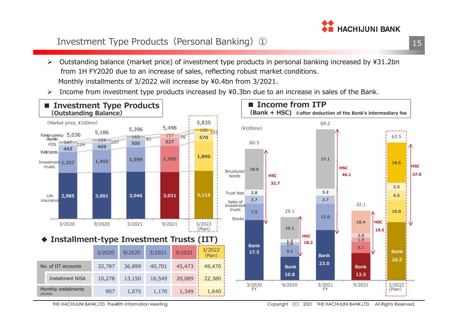

### Investment Type Products (Personal Banking) 1

- $\blacktriangleright$  Outstanding balance (market price) of investment type products in personal banking increased by ¥31.2bn from 1H FY2020 due to an increase of sales, reflecting robust market conditions.Monthly installments of 3/2022 will increase by ¥0.4bn from 3/2021.
- ➤ Income from investment type products increased by ¥0.3bn due to an increase in sales of the Bank.



THE HACHIJUNI BANK,LTD. The48th Information Meeting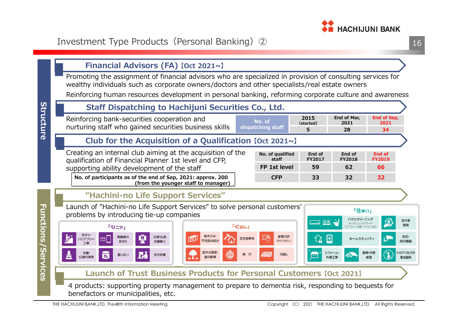

**End of Mar, 2021**28

**<sup>5</sup> <sup>28</sup> <sup>34</sup>**

**End of FY2018**

> 「住まい」 ハウスクリーニング

キッチン・レンジフード

エアコン/浴室/トイレなど

ホームセキュリティ

屋根·外壁

修理

**End of Sep, 2021**34

**End of FY2019**

空き家

管理

防犯·

防災機器

シロアリなどの

害虫駆除

**Financial Advisors (FA) [Oct 2021~]** 



 $55L1$ 

空き家解体

旅行

**No. of dispatching staff**

> **No. of qualified staff**

> > 家事代行

掃除·洗濯など

引越し

**2015(started)**

**CFP <sup>33</sup> <sup>32</sup> <sup>32</sup>**

**End of FY2017**

**FP 1st level <sup>59</sup> <sup>62</sup> <sup>66</sup>**

 $\overline{\circ}$ 

e

リフォーム・

外構工事

4 products: supporting property management to prepare to dementia risk, responding to bequests for benefactors or municipalities, etc.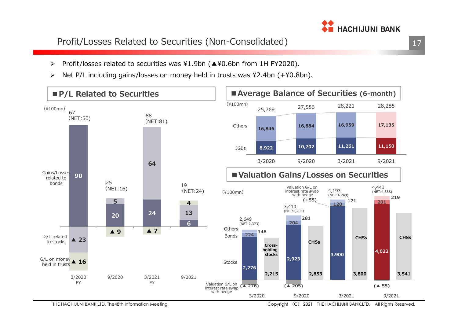### Profit/Losses Related to Securities (Non-Consolidated)

- $\blacktriangleright$ Profit/losses related to securities was ¥1.9bn (▲¥0.6bn from 1H FY2020).
- $\blacktriangleright$ Net P/L including gains/losses on money held in trusts was ¥2.4bn (+¥0.8bn).

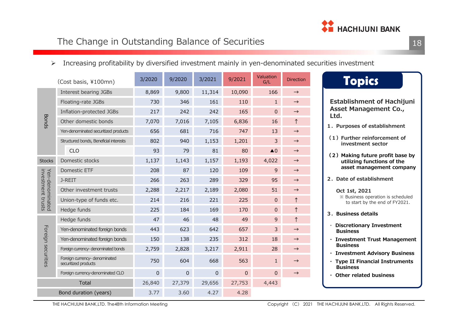

#### The Change in Outstanding Balance of Securities $\mathsf{S}$  18

Increasing profitability by diversified investment mainly in yen-denominated securities investment

|                                      | (Cost basis, ¥100mn)                                  | 3/2020 | 9/2020      | 3/2021      | 9/2021      | Valuation<br>G/L         | <b>Direction</b> | <b>Topics</b>                                                       |
|--------------------------------------|-------------------------------------------------------|--------|-------------|-------------|-------------|--------------------------|------------------|---------------------------------------------------------------------|
| <b>Bonds</b>                         | Interest bearing JGBs                                 | 8,869  | 9,800       | 11,314      | 10,090      | 166                      | $\rightarrow$    |                                                                     |
|                                      | Floating-rate JGBs                                    | 730    | 346         | 161         | 110         | $\mathbf{1}$             | $\rightarrow$    | <b>Establishment of Hachijuni</b>                                   |
|                                      | Inflation-protected JGBs                              | 217    | 242         | 242         | 165         | $\Omega$                 | $\rightarrow$    | <b>Asset Management Co.,</b><br>Ltd.                                |
|                                      | Other domestic bonds                                  | 7,070  | 7,016       | 7,105       | 6,836       | 16                       | $\uparrow$       | 1. Purposes of establishment                                        |
|                                      | Yen-denominated securitized products                  | 656    | 681         | 716         | 747         | 13                       | $\rightarrow$    |                                                                     |
|                                      | Structured bonds, Beneficial interests                | 802    | 940         | 1,153       | 1,201       | 3                        | $\rightarrow$    | (1) Further reinforcement of<br>investment sector                   |
|                                      | <b>CLO</b>                                            | 93     | 79          | 81          | 80          | $\triangle$ <sup>0</sup> | $\rightarrow$    | (2) Making future profit base by                                    |
| <b>Stocks</b>                        | Domestic stocks                                       | 1,137  | 1,143       | 1,157       | 1,193       | 4,022                    | $\rightarrow$    | utilizing functions of the                                          |
|                                      | Domestic ETF                                          | 208    | 87          | 120         | 109         | 9                        | $\rightarrow$    | asset management company                                            |
|                                      | J-REIT                                                | 266    | 263         | 289         | 329         | 95                       | $\rightarrow$    | 2. Date of establishment                                            |
|                                      | Other investment trusts                               | 2,288  | 2,217       | 2,189       | 2,080       | 51                       | $\rightarrow$    | Oct 1st, 2021                                                       |
| investment trusts<br>Yen-denominated | Union-type of funds etc.                              | 214    | 216         | 221         | 225         | $\mathbf{0}$             |                  | ※ Business operation is scheduled<br>to start by the end of FY2021. |
|                                      | Hedge funds                                           | 225    | 184         | 169         | 170         | $\mathbf 0$              | $\uparrow$       | 3. Business details                                                 |
|                                      | Hedge funds                                           | 47     | 46          | 48          | 49          | $\mathsf 9$              | $\uparrow$       |                                                                     |
| Foreign                              | Yen-denominated foreign bonds                         | 443    | 623         | 642         | 657         | 3                        | $\rightarrow$    | <b>Discretionary Investment</b><br><b>Business</b>                  |
|                                      | Yen-denominated foreign bonds                         | 150    | 138         | 235         | 312         | 18                       | $\rightarrow$    | <b>Investment Trust Management</b>                                  |
|                                      | Foreign currency-denominated bonds                    | 2,759  | 2,828       | 3,217       | 2,911       | 28                       | $\rightarrow$    | <b>Business</b><br><b>Investment Advisory Business</b>              |
| securities                           | Foreign currency- denominated<br>securitized products | 750    | 604         | 668         | 563         | $\mathbf{1}$             | $\rightarrow$    | · Type II Financial Instruments<br><b>Business</b>                  |
|                                      | Foreign currency-denominated CLO                      | 0      | $\mathbf 0$ | $\mathbf 0$ | $\mathbf 0$ | $\mathbf{0}$             | $\rightarrow$    | <b>Other related business</b>                                       |
|                                      | Total                                                 | 26,840 | 27,379      | 29,656      | 27,753      | 4,443                    |                  |                                                                     |
|                                      | Bond duration (years)                                 | 3.77   | 3.60        | 4.27        | 4.28        |                          |                  |                                                                     |

THE HACHIJUNI BANK,LTD. The48th Information Meeting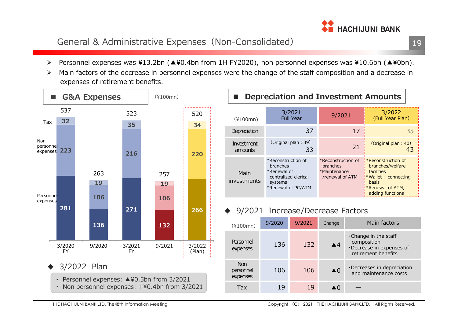

#### General & Administrative Expenses(Non-Consolidated)

- 
- 



| Depreciation and Investment Amounts |                                                                                                        |                                                                          |                                                                                                                                            |  |  |  |
|-------------------------------------|--------------------------------------------------------------------------------------------------------|--------------------------------------------------------------------------|--------------------------------------------------------------------------------------------------------------------------------------------|--|--|--|
| $(*100mn)$                          | 3/2021<br><b>Full Year</b>                                                                             | 9/2021                                                                   | 3/2022<br>(Full Year Plan)                                                                                                                 |  |  |  |
| Depreciation                        | 37                                                                                                     | 17                                                                       | 35                                                                                                                                         |  |  |  |
| Investment<br>amounts               | (Original plan: 39)<br>33                                                                              | 21                                                                       | (Original plan: 40)<br>43                                                                                                                  |  |  |  |
| Main<br>investments                 | *Reconstruction of<br>branches<br>*Renewal of<br>centralized clerical<br>systems<br>*Renewal of PC/ATM | *Reconstruction of<br><b>branches</b><br>*Maintenance<br>/renewal of ATM | $\frac{1}{2}$ Reconstruction of<br>branches/welfare<br>facilities<br>:*Wallet+ connecting<br>basis<br>*Renewal of ATM,<br>adding functions |  |  |  |

#### ◆ 9/2021 Increase/Decrease Factors

| $(*100mn)$                          | 9/2020 | 9/2021 | Change                   | Main factors                                                                                  |
|-------------------------------------|--------|--------|--------------------------|-----------------------------------------------------------------------------------------------|
| Personnel<br>expenses               | 136    | 132    | $\blacktriangle$ 4       | $\cdot$ Change in the staff<br>composition<br>·Decrease in expenses of<br>retirement benefits |
| <b>Non</b><br>personnel<br>expenses | 106    | 106    | $\triangle$ <sup>0</sup> | $\cdot$ Decreases in depreciation<br>and maintenance costs                                    |
| Tax                                 | 19     | 19     | $\triangle$ 0            |                                                                                               |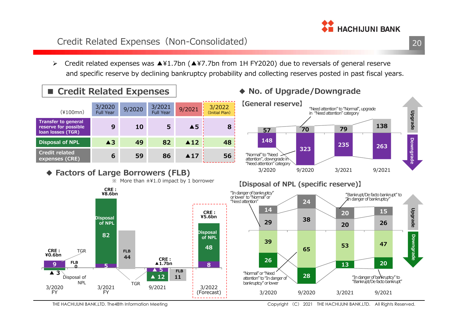### Credit Related Expenses (Non-Consolidated)

 $\triangleright$  Credit related expenses was ▲¥1.7bn (▲¥7.7bn from 1H FY2020) due to reversals of general reserve and specific reserve by declining bankruptcy probability and collecting reserves posted in past fiscal years.

# ■ Credit Related Expenses<br>←←←←←←←

| $(*100mn)$                                                              | 3/2020<br><b>Full Year</b> | 9/2020 | 3/2021<br><b>Full Year</b> | 9/2021              | 3/2022<br>(Initial Plan) |
|-------------------------------------------------------------------------|----------------------------|--------|----------------------------|---------------------|--------------------------|
| <b>Transfer to general</b><br>reserve for possible<br>loan losses (TGR) | 9                          | 10     | 5                          | $\triangle$ 5       | 8                        |
| <b>Disposal of NPL</b>                                                  | $\triangle 3$              | 49     | 82                         | $\blacktriangle$ 12 | 48                       |
| <b>Credit related</b><br>expenses (CRE)                                 | 6                          | 59     | 86                         | $\blacktriangle$ 17 | 56                       |



#### **2914 3926**"In danger of bankruptcy" or lower to "Normal" or "Needattention" $\frac{1}{2}$  More than  $\pm$  41.0 impact by 1 borrower **<sup>5</sup>FLB 8824844Disposal of NPLCRE︓¥8.6bnCRE︓¥5.6bn**CRE : **▲1.7bnDisposal of NPL FLB TGR**

9/2021 3/2022 (Forecast)

**FLB11**

**▲ 5**

**▲ 12**

**TGR** 

#### **【Disposal of NPL (specific reserve)】**



3/2021FY

**9**

**CRE︓**

**¥0.6bn**

**▲ 3**

Disposal of NPL

**FLB0**

3/2020FY

### **◆ No. of Upgrade/Downgrade**



**THE HACHIJUNI BANK** 

## <u>20</u>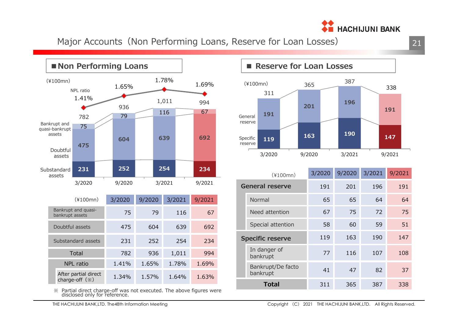

Major Accounts (Non Performing Loans, Reserve for Loan Losses)



※ Partial direct charge-off was not executed. The above figures were disclosed only for reference.

### ■ Reserve for Loan Losses



| $(*100mn)$              |                               | 3/2020 | 9/2020 | 3/2021 | 9/2021 |
|-------------------------|-------------------------------|--------|--------|--------|--------|
| <b>General reserve</b>  |                               | 191    | 201    | 196    | 191    |
|                         | Normal                        | 65     | 65     | 64     | 64     |
|                         | Need attention                | 67     | 75     | 72     | 75     |
|                         | Special attention             | 58     | 60     | 59     | 51     |
| <b>Specific reserve</b> |                               | 119    | 163    | 190    | 147    |
|                         | In danger of<br>bankrupt      | 77     | 116    | 107    | 108    |
|                         | Bankrupt/De facto<br>bankrupt | 41     | 47     | 82     | 37     |
| <b>Total</b>            |                               | 311    | 365    | 387    | 338    |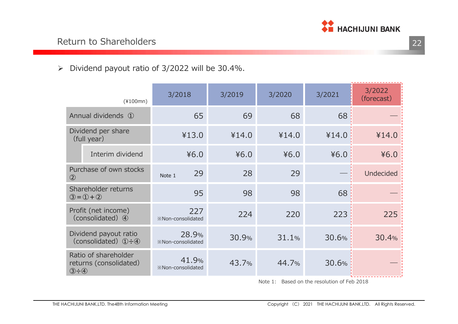

| $\blacktriangleright$ | Dividend payout ratio of 3/2022 will be 30.4%.                                   |                                   |        |        |        |                      |
|-----------------------|----------------------------------------------------------------------------------|-----------------------------------|--------|--------|--------|----------------------|
|                       | $(*100mn)$                                                                       | 3/2018                            | 3/2019 | 3/2020 | 3/2021 | 3/2022<br>(forecast) |
|                       | Annual dividends 1                                                               | 65                                | 69     | 68     | 68     |                      |
|                       | Dividend per share<br>(full year)                                                | ¥13.0                             | ¥14.0  | ¥14.0  | ¥14.0  | ¥14.0                |
|                       | Interim dividend                                                                 | 46.0                              | 46.0   | 46.0   | 46.0   | 46.0                 |
|                       | Purchase of own stocks<br>$\circled{2}$                                          | 29<br>Note 1                      | 28     | 29     |        | <b>Undecided</b>     |
|                       | Shareholder returns<br>$3 = 0 + 2$                                               | 95                                | 98     | 98     | 68     |                      |
|                       | Profit (net income)<br>(consolidated) 4                                          | 227<br><b>※Non-consolidated</b>   | 224    | 220    | 223    | 225                  |
|                       | Dividend payout ratio<br>(consolidated) $\mathbb{Q} - \mathbb{Q}$                | 28.9%<br><b>※Non-consolidated</b> | 30.9%  | 31.1%  | 30.6%  | 30.4%                |
|                       | Ratio of shareholder<br>returns (consolidated)<br>$\circled{3} \div \circled{4}$ | 41.9%<br><b>※Non-consolidated</b> | 43.7%  | 44.7%  | 30.6%  |                      |

Note 1: Based on the resolution of Feb 2018

 $\mathsf{S}$  and  $\mathsf{S}$  and  $\mathsf{S}$  and  $\mathsf{S}$  and  $\mathsf{S}$  and  $\mathsf{S}$  and  $\mathsf{S}$  and  $\mathsf{S}$  and  $\mathsf{S}$  and  $\mathsf{S}$  and  $\mathsf{S}$  and  $\mathsf{S}$  and  $\mathsf{S}$  and  $\mathsf{S}$  and  $\mathsf{S}$  and  $\mathsf{S}$  and  $\mathsf{S}$  and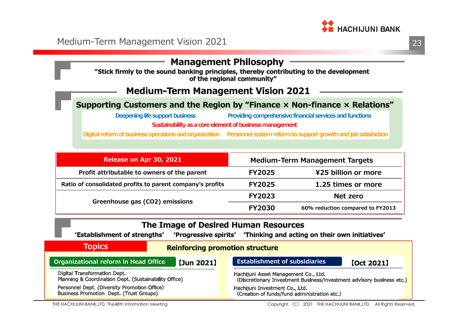

### **Management Philosophy**

"Stick firmly to the sound banking principles, thereby contributing to the development of the regional community"

#### **Medium-Term Management Vision 2021**

#### Supporting Customers and the Region by "Finance x Non-finance x Relations"

**Sustainability as a core element of business managementDeepening life support business Providing comprehensive financial services and functions**

**Digital reform of business operations and organization Personnel system reform to support growth and job satisfaction**

| Release on Apr 30, 2021                                   | <b>Medium-Term Management Targets</b> |                                  |  |
|-----------------------------------------------------------|---------------------------------------|----------------------------------|--|
| Profit attributable to owners of the parent               | <b>FY2025</b>                         | ¥25 billion or more              |  |
| Ratio of consolidated profits to parent company's profits | <b>FY2025</b>                         | 1.25 times or more               |  |
| Greenhouse gas (CO2) emissions                            | <b>FY2023</b>                         | Net zero                         |  |
|                                                           | <b>FY2030</b>                         | 60% reduction compared to FY2013 |  |

| The Image of Desired Human Resources<br>'Progressive spirits' 'Thinking and acting on their own initiatives'<br>'Establishment of strengths' |                                                                       |  |  |  |  |
|----------------------------------------------------------------------------------------------------------------------------------------------|-----------------------------------------------------------------------|--|--|--|--|
| <b>Topics</b><br><b>Reinforcing promotion structure</b>                                                                                      |                                                                       |  |  |  |  |
| Organizational reform in Head Office                                                                                                         | <b>Establishment of subsidiaries</b>                                  |  |  |  |  |
| $[$ Jun 2021 $]$                                                                                                                             | [Oct 2021]                                                            |  |  |  |  |
| Digital Transformation Dept.                                                                                                                 | Hachijuni Asset Management Co., Ltd.                                  |  |  |  |  |
| Planning & Coordination Dept. (Sustainability Office)                                                                                        | (Discretionary Investment Business/investment advisory business etc.) |  |  |  |  |
| Personnel Dept. (Diversity Promotion Office)                                                                                                 | Hachijuni Investment Co., Ltd.                                        |  |  |  |  |
| <b>Business Promotion Dept. (Trust Groups)</b>                                                                                               | (Creation of funds/fund administration etc.)                          |  |  |  |  |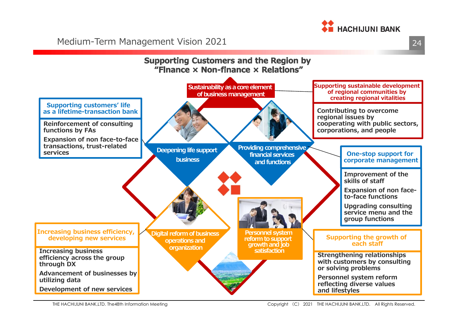

Medium-Term Management Vision 2021

24